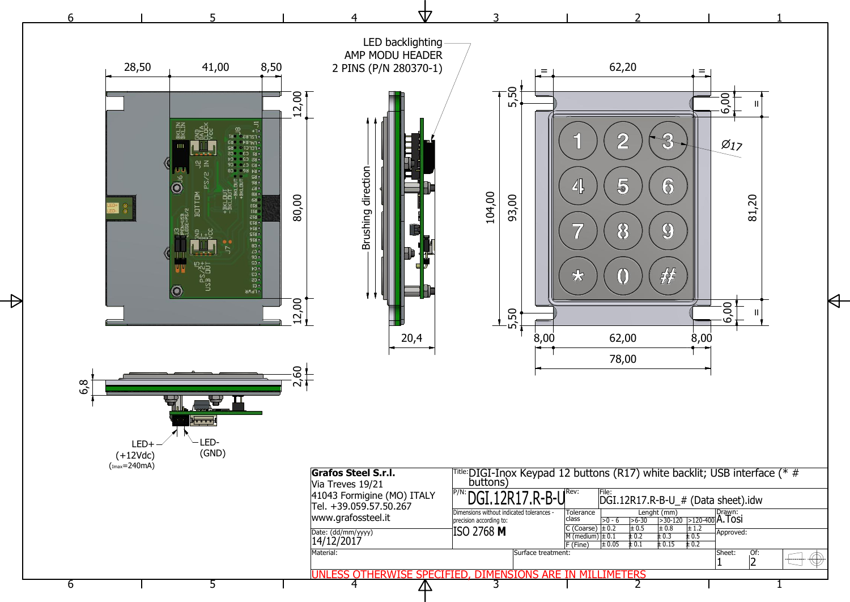